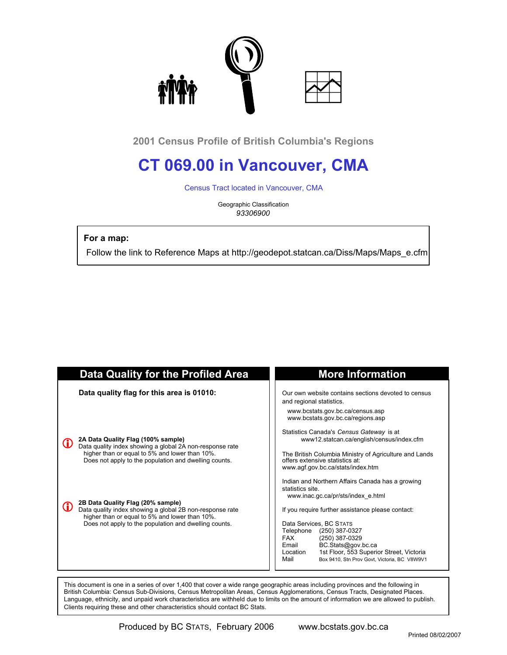

**2001 Census Profile of British Columbia's Regions**

# **CT 069.00 in Vancouver, CMA**

Census Tract located in Vancouver, CMA

Geographic Classification *93306900*

 **For a map:**

Follow the link to Reference Maps at http://geodepot.statcan.ca/Diss/Maps/Maps\_e.cfm

| <b>Data Quality for the Profiled Area</b>                                                                                                                                                                | <b>More Information</b>                                                                                                                                                                                                                                                                    |
|----------------------------------------------------------------------------------------------------------------------------------------------------------------------------------------------------------|--------------------------------------------------------------------------------------------------------------------------------------------------------------------------------------------------------------------------------------------------------------------------------------------|
| Data quality flag for this area is 01010:                                                                                                                                                                | Our own website contains sections devoted to census<br>and regional statistics.                                                                                                                                                                                                            |
|                                                                                                                                                                                                          | www.bcstats.gov.bc.ca/census.asp<br>www.bcstats.gov.bc.ca/regions.asp                                                                                                                                                                                                                      |
| 2A Data Quality Flag (100% sample)<br>Data quality index showing a global 2A non-response rate                                                                                                           | Statistics Canada's Census Gateway is at<br>www12.statcan.ca/english/census/index.cfm                                                                                                                                                                                                      |
| higher than or equal to 5% and lower than 10%.<br>Does not apply to the population and dwelling counts.                                                                                                  | The British Columbia Ministry of Agriculture and Lands<br>offers extensive statistics at:<br>www.agf.gov.bc.ca/stats/index.htm                                                                                                                                                             |
|                                                                                                                                                                                                          | Indian and Northern Affairs Canada has a growing<br>statistics site.<br>www.inac.gc.ca/pr/sts/index e.html                                                                                                                                                                                 |
| 2B Data Quality Flag (20% sample)<br>Data quality index showing a global 2B non-response rate<br>higher than or equal to 5% and lower than 10%.<br>Does not apply to the population and dwelling counts. | If you require further assistance please contact:<br>Data Services, BC STATS<br>Telephone<br>(250) 387-0327<br><b>FAX</b><br>(250) 387-0329<br>BC.Stats@gov.bc.ca<br>Email<br>1st Floor, 553 Superior Street, Victoria<br>Location<br>Mail<br>Box 9410, Stn Prov Govt, Victoria, BC V8W9V1 |
|                                                                                                                                                                                                          |                                                                                                                                                                                                                                                                                            |

 This document is one in a series of over 1,400 that cover a wide range geographic areas including provinces and the following in British Columbia: Census Sub-Divisions, Census Metropolitan Areas, Census Agglomerations, Census Tracts, Designated Places. Language, ethnicity, and unpaid work characteristics are withheld due to limits on the amount of information we are allowed to publish. Clients requiring these and other characteristics should contact BC Stats.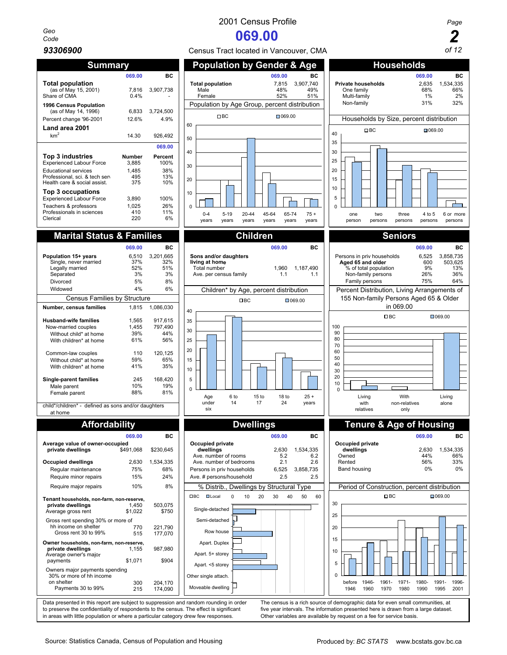# *Geo*

| Summary                                                                                                                                             |                                        |                                      |
|-----------------------------------------------------------------------------------------------------------------------------------------------------|----------------------------------------|--------------------------------------|
|                                                                                                                                                     | 069.00                                 | вc                                   |
| <b>Total population</b><br>(as of May 15, 2001)<br>Share of CMA                                                                                     | 7,816<br>0.4%                          | 3,907,738                            |
| 1996 Census Population<br>(as of May 14, 1996)<br>Percent change '96-2001                                                                           | 6,833<br>12.6%                         | 3,724,500<br>4.9%                    |
| Land area 2001                                                                                                                                      |                                        |                                      |
| km <sup>2</sup>                                                                                                                                     | 14.30                                  | 926.492                              |
|                                                                                                                                                     |                                        | 069.00                               |
| Top 3 industries<br><b>Experienced Labour Force</b><br><b>Educational services</b><br>Professional, sci. & tech sen<br>Health care & social assist. | Number<br>3,885<br>1,485<br>495<br>375 | Percent<br>100%<br>38%<br>13%<br>10% |
| Top 3 occupations<br><b>Experienced Labour Force</b><br>Teachers & professors<br>Professionals in sciences<br>Clerical                              | 3,890<br>1,025<br>410<br>220           | 100%<br>26%<br>11%<br>6%             |

|                               | 069.00 | вc        |
|-------------------------------|--------|-----------|
| Population 15+ years          | 6,510  | 3,201,665 |
| Single, never married         | 37%    | 32%       |
| Legally married               | 52%    | 51%       |
| Separated                     | 3%     | 3%        |
| Divorced                      | 5%     | 8%        |
| Widowed                       | 4%     | 6%        |
| Census Families by Structure  |        |           |
| Number, census families       | 1.815  | 1,086,030 |
|                               |        |           |
| <b>Hushand-wife families</b>  | 1.565  | 917.615   |
| Now-married couples           | 1.455  | 797.490   |
| Without child* at home        | 39%    | 44%       |
| With children* at home        | 61%    | 56%       |
| Common-law couples            | 110    | 120,125   |
| Without child* at home        | 59%    | 65%       |
| With children* at home        | 41%    | 35%       |
|                               |        |           |
| <b>Single-parent families</b> | 245    | 168,420   |
| Male parent                   | 10%    | 19%       |
| Female parent                 | 88%    | 81%       |

child\*/children\* - defined as sons and/or daughters at home

|                                                                                                    | $\sim$ $\sim$ $\sim$ |                    |
|----------------------------------------------------------------------------------------------------|----------------------|--------------------|
|                                                                                                    | 069.00               | вc                 |
| Average value of owner-occupied<br>private dwellings                                               | \$491,068            | \$230,645          |
| Occupied dwellings                                                                                 | 2,630                | 1,534,335          |
| Regular maintenance                                                                                | 75%                  | 68%                |
| Require minor repairs                                                                              | 15%                  | 24%                |
| Require major repairs                                                                              | 10%                  | 8%                 |
| Tenant households, non-farm, non-reserve,<br>private dwellings<br>Average gross rent               | 1.450<br>\$1,022     | 503,075<br>\$750   |
| Gross rent spending 30% or more of<br>hh income on shelter<br>Gross rent 30 to 99%                 | 770<br>515           | 221.790<br>177,070 |
| Owner households, non-farm, non-reserve,<br>private dwellings<br>Average owner's major<br>payments | 1.155<br>\$1,071     | 987,980<br>\$904   |
| Owners major payments spending<br>30% or more of hh income<br>on shelter<br>Payments 30 to 99%     | 300<br>215           | 204,170<br>174,090 |







|                                                                                                    | 069.00           | <b>BC</b>          |                                           |                                          |    | 069.00                                                                        |           | <b>BC</b> |               |                                              |               |              |              | 069.00        |               | BC               |
|----------------------------------------------------------------------------------------------------|------------------|--------------------|-------------------------------------------|------------------------------------------|----|-------------------------------------------------------------------------------|-----------|-----------|---------------|----------------------------------------------|---------------|--------------|--------------|---------------|---------------|------------------|
| Average value of owner-occupied<br>private dwellings                                               | \$491,068        | \$230,645          | dwellings                                 | Occupied private<br>Ave. number of rooms |    | 2,630<br>5.2                                                                  | 1,534,335 | 6.2       |               | Occupied private<br>dwellings<br>Owned       |               |              |              | 2,630<br>44%  |               | 1,534,335<br>66% |
| Occupied dwellings                                                                                 | 2,630            | 1,534,335          |                                           | Ave. number of bedrooms                  |    | 2.1                                                                           |           | 2.6       |               | Rented                                       |               |              |              | 56%           |               | 33%              |
| Regular maintenance                                                                                | 75%              | 68%                |                                           | Persons in priv households               |    | 6,525                                                                         | 3,858,735 |           |               | Band housing                                 |               |              |              | 0%            |               | 0%               |
| Require minor repairs                                                                              | 15%              | 24%                |                                           | Ave. # persons/household                 |    | 2.5                                                                           |           | 2.5       |               |                                              |               |              |              |               |               |                  |
| Require major repairs                                                                              | 10%              | 8%                 |                                           | % Distrib., Dwellings by Structural Type |    |                                                                               |           |           |               | Period of Construction, percent distribution |               |              |              |               |               |                  |
| Tenant households, non-farm, non-reserve,<br>private dwellings<br>Average gross rent               | 1.450<br>\$1,022 | 503,075<br>\$750   | B <sub>0</sub>                            | $\Box$ Local<br>Single-detached          | 10 | 20<br>30                                                                      | 50<br>40  | 60        | 30            |                                              |               | $\Box$ BC    |              |               | $\Box 069.00$ |                  |
| Gross rent spending 30% or more of<br>hh income on shelter<br>Gross rent 30 to 99%                 | 770<br>515       | 221,790<br>177,070 |                                           | Semi-detached<br>Row house               |    |                                                                               |           |           | 25<br>20      |                                              |               |              |              |               |               |                  |
| Owner households, non-farm, non-reserve,<br>private dwellings<br>Average owner's major<br>payments | 1,155<br>\$1,071 | 987,980<br>\$904   |                                           | Apart. Duplex<br>Apart. 5+ storey        |    |                                                                               |           |           | 15<br>10<br>5 |                                              |               |              |              |               |               |                  |
| Owners major payments spending<br>30% or more of hh income<br>on shelter<br>Payments 30 to 99%     | 300<br>215       | 204,170<br>174,090 | Other single attach.<br>Moveable dwelling | Apart. <5 storey                         |    |                                                                               |           |           | $\Omega$      | before<br>1946                               | 1946-<br>1960 | 1961<br>1970 | 1971<br>1980 | 1980-<br>1990 | 1991-<br>1995 | 1996<br>2001     |
| Data presented in this report are subject to suppression and random rounding in order              |                  |                    |                                           |                                          |    | The census is a rich source of demographic data for even small communities at |           |           |               |                                              |               |              |              |               |               |                  |

Data presented in this report are subject to suppression and random rounding in order The census is a rich source of demographic data for even small communities, at to preserve the confidentiality of respondents to the cen to preserve the confidentiality of respondents to the census. The effect is significant five year intervals. The information presented here is drawn from a large dataset is the confident is drawn from a large dataset. Char in areas with little population or where a particular category drew few responses.



1996- 2001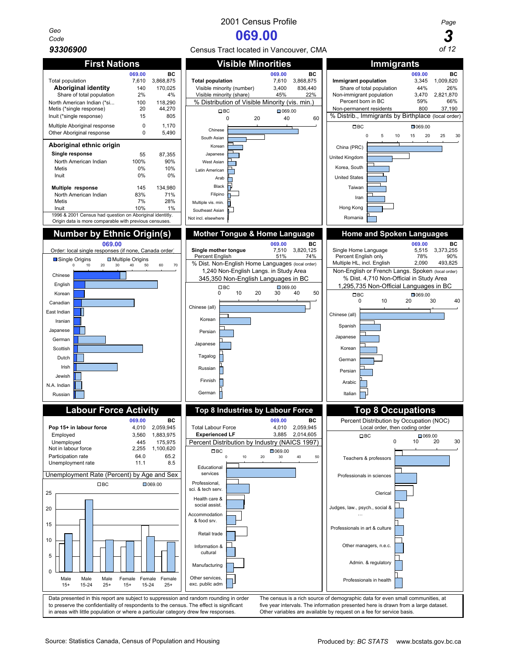*Geo*

Not in labour force

> Male 15+

Male 15-24

Chinese English Korean Canadian East Indian Iranian Japanese German **Scottish** Dutch Irish Jewish N.A. Indian Russian

# Multiple Aboriginal response  $0$  1,170 Other Aboriginal response  $0$  5,490 **Aboriginal ethnic origin Single response** 55 87,355 North American Indian 100% 90% Metis 0% 10% Inuit 0% 0% **Multiple response** 145 134,980<br>North American Indian 83% 71% North American Indian 83% 71% Metis 7% 28% Inuit 10% 1% 1996 & 2001 Census had question on Aboriginal identitly. Origin data is more comparable with previous census





in areas with little population or where a particular category drew few responses.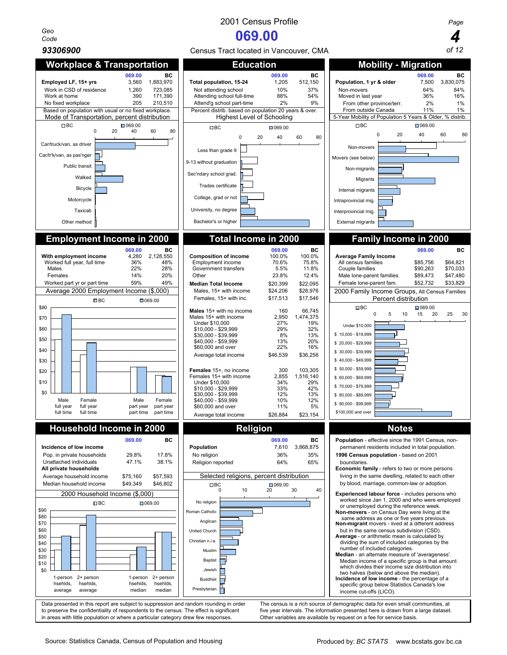*Geo Code* **069.00** *4*



Data presented in this report are subject to suppression and random rounding in order The census is a rich source of demographic data for even small communities, at to preserve the confidentiality of respondents to the census. The effect is significant five year intervals. The information presented here is drawn from a large dataset.<br>in areas with little population or where a particul in areas with little population or where a particular category drew few responses.

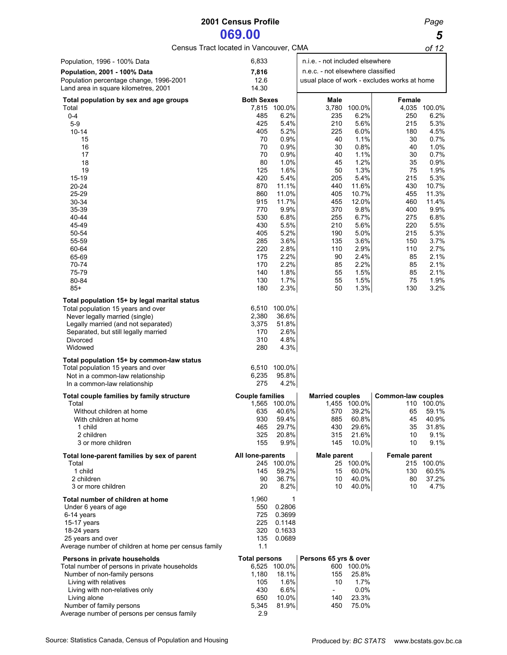# **2001 Census Profile** *Page*

**069.00 5**<br> **bcated in Vancouver, CMA 6f 12** Census Tract located in Vancouver, CMA

| Population, 1996 - 100% Data                                                       | 6,833                  |                      | n.i.e. - not included elsewhere   |                |                                              |                      |
|------------------------------------------------------------------------------------|------------------------|----------------------|-----------------------------------|----------------|----------------------------------------------|----------------------|
| <b>Population, 2001 - 100% Data</b>                                                | 7,816                  |                      | n.e.c. - not elsewhere classified |                |                                              |                      |
| Population percentage change, 1996-2001                                            | 12.6                   |                      |                                   |                | usual place of work - excludes works at home |                      |
| Land area in square kilometres, 2001                                               | 14.30                  |                      |                                   |                |                                              |                      |
| Total population by sex and age groups                                             | <b>Both Sexes</b>      |                      | Male                              |                | Female                                       |                      |
| Total<br>$0 - 4$                                                                   | 485                    | 7,815 100.0%<br>6.2% | 3,780<br>235                      | 100.0%<br>6.2% | 250                                          | 4,035 100.0%<br>6.2% |
| $5-9$                                                                              | 425                    | 5.4%                 | 210                               | 5.6%           | 215                                          | 5.3%                 |
| $10 - 14$                                                                          | 405                    | 5.2%                 | 225                               | 6.0%           | 180                                          | 4.5%                 |
| 15                                                                                 | 70                     | 0.9%                 | 40                                | 1.1%           | 30                                           | 0.7%                 |
| 16                                                                                 | 70                     | 0.9%                 | 30                                | 0.8%           | 40                                           | 1.0%                 |
| 17                                                                                 | 70                     | 0.9%                 | 40                                | 1.1%           | 30                                           | 0.7%                 |
| 18<br>19                                                                           | 80<br>125              | 1.0%<br>1.6%         | 45<br>50                          | 1.2%<br>1.3%   | 35<br>75                                     | 0.9%<br>1.9%         |
| 15-19                                                                              | 420                    | 5.4%                 | 205                               | 5.4%           | 215                                          | 5.3%                 |
| $20 - 24$                                                                          | 870                    | 11.1%                | 440                               | 11.6%          | 430                                          | 10.7%                |
| 25-29                                                                              | 860                    | 11.0%                | 405                               | 10.7%          | 455                                          | 11.3%                |
| 30-34                                                                              | 915                    | 11.7%                | 455                               | 12.0%          | 460                                          | 11.4%                |
| 35-39<br>$40 - 44$                                                                 | 770<br>530             | 9.9%<br>6.8%         | 370                               | 9.8%           | 400                                          | 9.9%                 |
| 45-49                                                                              | 430                    | 5.5%                 | 255<br>210                        | 6.7%<br>5.6%   | 275<br>220                                   | 6.8%<br>5.5%         |
| 50-54                                                                              | 405                    | 5.2%                 | 190                               | 5.0%           | 215                                          | 5.3%                 |
| 55-59                                                                              | 285                    | 3.6%                 | 135                               | 3.6%           | 150                                          | 3.7%                 |
| 60-64                                                                              | 220                    | 2.8%                 | 110                               | 2.9%           | 110                                          | 2.7%                 |
| 65-69                                                                              | 175                    | 2.2%                 | 90                                | 2.4%           | 85                                           | 2.1%                 |
| 70-74<br>75-79                                                                     | 170<br>140             | 2.2%<br>1.8%         | 85<br>55                          | 2.2%<br>1.5%   | 85<br>85                                     | 2.1%<br>2.1%         |
| 80-84                                                                              | 130                    | 1.7%                 | 55                                | 1.5%           | 75                                           | 1.9%                 |
| $85+$                                                                              | 180                    | 2.3%                 | 50                                | 1.3%           | 130                                          | 3.2%                 |
|                                                                                    |                        |                      |                                   |                |                                              |                      |
| Total population 15+ by legal marital status<br>Total population 15 years and over | 6,510                  | 100.0%               |                                   |                |                                              |                      |
| Never legally married (single)                                                     | 2,380                  | 36.6%                |                                   |                |                                              |                      |
| Legally married (and not separated)                                                | 3,375                  | 51.8%                |                                   |                |                                              |                      |
| Separated, but still legally married                                               | 170                    | 2.6%                 |                                   |                |                                              |                      |
| Divorced                                                                           | 310                    | 4.8%                 |                                   |                |                                              |                      |
| Widowed                                                                            | 280                    | 4.3%                 |                                   |                |                                              |                      |
| Total population 15+ by common-law status                                          |                        |                      |                                   |                |                                              |                      |
| Total population 15 years and over<br>Not in a common-law relationship             | 6,510<br>6,235         | 100.0%<br>95.8%      |                                   |                |                                              |                      |
| In a common-law relationship                                                       | 275                    | 4.2%                 |                                   |                |                                              |                      |
|                                                                                    |                        |                      |                                   |                |                                              |                      |
| Total couple families by family structure<br>Total                                 | <b>Couple families</b> | 1,565 100.0%         | <b>Married couples</b>            | 1,455 100.0%   | Common-law couples                           | 110 100.0%           |
| Without children at home                                                           | 635                    | 40.6%                | 570                               | 39.2%          | 65                                           | 59.1%                |
| With children at home                                                              | 930                    | 59.4%                | 885                               | 60.8%          | 45                                           | 40.9%                |
| 1 child                                                                            | 465                    | 29.7%                | 430                               | 29.6%          | 35                                           | 31.8%                |
| 2 children<br>3 or more children                                                   | 325<br>155             | 20.8%<br>9.9%        | 315<br>145                        | 21.6%<br>10.0% | 10<br>10                                     | 9.1%<br>9.1%         |
|                                                                                    |                        |                      |                                   |                |                                              |                      |
| Total lone-parent families by sex of parent<br>Total                               | All lone-parents       | 245 100.0%           | <b>Male parent</b>                | 25 100.0%      | <b>Female parent</b>                         | 215 100.0%           |
| 1 child                                                                            | 145                    | 59.2%                | 15                                | 60.0%          | 130                                          | 60.5%                |
| 2 children                                                                         | 90                     | 36.7%                | 10                                | 40.0%          | 80                                           | 37.2%                |
| 3 or more children                                                                 | 20                     | 8.2%                 | 10                                | 40.0%          | 10                                           | 4.7%                 |
| Total number of children at home                                                   | 1,960                  | 1                    |                                   |                |                                              |                      |
| Under 6 years of age                                                               | 550                    | 0.2806               |                                   |                |                                              |                      |
| 6-14 years                                                                         | 725                    | 0.3699               |                                   |                |                                              |                      |
| 15-17 years                                                                        | 225                    | 0.1148               |                                   |                |                                              |                      |
| 18-24 years<br>25 years and over                                                   | 320<br>135             | 0.1633<br>0.0689     |                                   |                |                                              |                      |
| Average number of children at home per census family                               | 1.1                    |                      |                                   |                |                                              |                      |
| Persons in private households                                                      | <b>Total persons</b>   |                      | Persons 65 yrs & over             |                |                                              |                      |
| Total number of persons in private households                                      |                        | 6,525 100.0%         |                                   | 600 100.0%     |                                              |                      |
| Number of non-family persons                                                       | 1,180                  | 18.1%                | 155                               | 25.8%          |                                              |                      |
| Living with relatives                                                              | 105                    | 1.6%                 | 10                                | 1.7%           |                                              |                      |
| Living with non-relatives only                                                     | 430                    | 6.6%                 | $\sim$ $-$                        | 0.0%           |                                              |                      |
| Living alone<br>Number of family persons                                           | 650                    | 10.0%<br>81.9%       | 140<br>450                        | 23.3%<br>75.0% |                                              |                      |
| Average number of persons per census family                                        | 5,345<br>2.9           |                      |                                   |                |                                              |                      |
|                                                                                    |                        |                      |                                   |                |                                              |                      |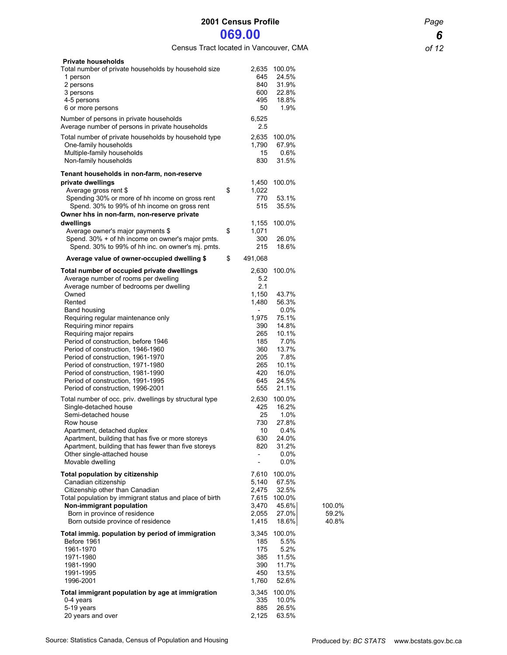Census Tract located in Vancouver, CMA *of 12*

| <b>Private households</b><br>Total number of private households by household size<br>1 person<br>2 persons<br>3 persons<br>4-5 persons<br>6 or more persons<br>Number of persons in private households                                                                                                                                                        | 2,635<br>645<br>840<br>600<br>495<br>50<br>6,525                                                          | 100.0%<br>24.5%<br>31.9%<br>22.8%<br>18.8%<br>1.9%                                   |                          |
|---------------------------------------------------------------------------------------------------------------------------------------------------------------------------------------------------------------------------------------------------------------------------------------------------------------------------------------------------------------|-----------------------------------------------------------------------------------------------------------|--------------------------------------------------------------------------------------|--------------------------|
| Average number of persons in private households<br>Total number of private households by household type<br>One-family households<br>Multiple-family households<br>Non-family households                                                                                                                                                                       | 2.5<br>2,635<br>1,790<br>15<br>830                                                                        | 100.0%<br>67.9%<br>0.6%<br>31.5%                                                     |                          |
| Tenant households in non-farm, non-reserve<br>private dwellings<br>Average gross rent \$<br>Spending 30% or more of hh income on gross rent<br>Spend. 30% to 99% of hh income on gross rent<br>Owner hhs in non-farm, non-reserve private<br>dwellings                                                                                                        | \$<br>1,450<br>1,022<br>770<br>515<br>1,155                                                               | 100.0%<br>53.1%<br>35.5%<br>100.0%                                                   |                          |
| Average owner's major payments \$<br>Spend. 30% + of hh income on owner's major pmts.                                                                                                                                                                                                                                                                         | \$<br>1,071<br>300<br>215                                                                                 | 26.0%                                                                                |                          |
| Spend. 30% to 99% of hh inc. on owner's mj. pmts.                                                                                                                                                                                                                                                                                                             | \$                                                                                                        | 18.6%                                                                                |                          |
| Average value of owner-occupied dwelling \$<br>Total number of occupied private dwellings                                                                                                                                                                                                                                                                     | 491,068<br>2,630                                                                                          | 100.0%                                                                               |                          |
| Average number of rooms per dwelling<br>Average number of bedrooms per dwelling<br>Owned<br>Rented<br>Band housing                                                                                                                                                                                                                                            | 5.2<br>2.1<br>1,150<br>1,480                                                                              | 43.7%<br>56.3%<br>0.0%                                                               |                          |
| Requiring regular maintenance only<br>Requiring minor repairs<br>Requiring major repairs<br>Period of construction, before 1946<br>Period of construction, 1946-1960<br>Period of construction, 1961-1970<br>Period of construction, 1971-1980<br>Period of construction, 1981-1990<br>Period of construction, 1991-1995<br>Period of construction, 1996-2001 | 1,975<br>390<br>265<br>185<br>360<br>205<br>265<br>420<br>645<br>555                                      | 75.1%<br>14.8%<br>10.1%<br>7.0%<br>13.7%<br>7.8%<br>10.1%<br>16.0%<br>24.5%<br>21.1% |                          |
| Total number of occ. priv. dwellings by structural type<br>Single-detached house<br>Semi-detached house<br>Row house<br>Apartment, detached duplex<br>Apartment, building that has five or more storeys<br>Apartment, building that has fewer than five storeys<br>Other single-attached house<br>Movable dwelling                                            | 2,630<br>425<br>25<br>730<br>10<br>630<br>820<br>$\overline{\phantom{a}}$<br>$\qquad \qquad \blacksquare$ | 100.0%<br>16.2%<br>1.0%<br>27.8%<br>0.4%<br>24.0%<br>31.2%<br>$0.0\%$<br>$0.0\%$     |                          |
| <b>Total population by citizenship</b><br>Canadian citizenship<br>Citizenship other than Canadian<br>Total population by immigrant status and place of birth<br>Non-immigrant population<br>Born in province of residence<br>Born outside province of residence                                                                                               | 7,610<br>5,140<br>2.475<br>7,615<br>3,470<br>2,055<br>1,415                                               | 100.0%<br>67.5%<br>32.5%<br>100.0%<br>45.6%<br>27.0%<br>18.6%                        | 100.0%<br>59.2%<br>40.8% |
| Total immig. population by period of immigration<br>Before 1961<br>1961-1970<br>1971-1980<br>1981-1990<br>1991-1995<br>1996-2001                                                                                                                                                                                                                              | 3,345<br>185<br>175<br>385<br>390<br>450<br>1,760                                                         | 100.0%<br>5.5%<br>5.2%<br>11.5%<br>11.7%<br>13.5%<br>52.6%                           |                          |
| Total immigrant population by age at immigration<br>0-4 years<br>5-19 years<br>20 years and over                                                                                                                                                                                                                                                              | 3,345<br>335<br>885<br>2,125                                                                              | 100.0%<br>10.0%<br>26.5%<br>63.5%                                                    |                          |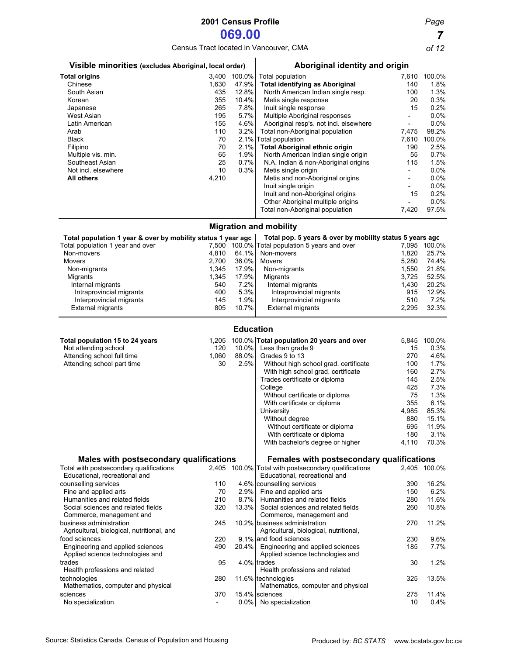Census Tract located in Vancouver, CMA *of 12*

| Visible minorities (excludes Aboriginal, local order)        |              |       | Aboriginal identity and origin                           |                          |        |  |  |
|--------------------------------------------------------------|--------------|-------|----------------------------------------------------------|--------------------------|--------|--|--|
| <b>Total origins</b>                                         | 3,400 100.0% |       | Total population                                         | 7,610                    | 100.0% |  |  |
| Chinese                                                      | 1,630        | 47.9% | <b>Total identifying as Aboriginal</b>                   | 140                      | 1.8%   |  |  |
| South Asian                                                  | 435          | 12.8% | North American Indian single resp.                       | 100                      | 1.3%   |  |  |
| Korean                                                       | 355          | 10.4% | Metis single response                                    | 20                       | 0.3%   |  |  |
| Japanese                                                     | 265          | 7.8%  | Inuit single response                                    | 15                       | 0.2%   |  |  |
| West Asian                                                   | 195          | 5.7%  | Multiple Aboriginal responses                            |                          | 0.0%   |  |  |
| Latin American                                               | 155          | 4.6%  | Aboriginal resp's. not incl. elsewhere                   | $\blacksquare$           | 0.0%   |  |  |
| Arab                                                         | 110          | 3.2%  | Total non-Aboriginal population                          | 7,475                    | 98.2%  |  |  |
| <b>Black</b>                                                 | 70           |       | 2.1% Total population                                    | 7,610                    | 100.0% |  |  |
| Filipino                                                     | 70           | 2.1%  | <b>Total Aboriginal ethnic origin</b>                    | 190                      | 2.5%   |  |  |
| Multiple vis. min.                                           | 65           | 1.9%  | North American Indian single origin                      | 55                       | 0.7%   |  |  |
| Southeast Asian                                              | 25           | 0.7%  | N.A. Indian & non-Aboriginal origins                     | 115                      | 1.5%   |  |  |
| Not incl. elsewhere                                          | 10           | 0.3%  | Metis single origin                                      |                          | 0.0%   |  |  |
| <b>All others</b>                                            | 4,210        |       | Metis and non-Aboriginal origins                         | $\overline{\phantom{a}}$ | 0.0%   |  |  |
|                                                              |              |       | Inuit single origin                                      |                          | 0.0%   |  |  |
|                                                              |              |       | Inuit and non-Aboriginal origins                         | 15                       | 0.2%   |  |  |
|                                                              |              |       | Other Aboriginal multiple origins                        |                          | 0.0%   |  |  |
|                                                              |              |       | Total non-Aboriginal population                          | 7,420                    | 97.5%  |  |  |
|                                                              |              |       | <b>Migration and mobility</b>                            |                          |        |  |  |
| Total population 1 year & over by mobility status 1 year ago |              |       | Total pop. 5 years & over by mobility status 5 years ago |                          |        |  |  |
| Total population 1 year and over                             |              |       | 7,500 100.0% Total population 5 years and over           | 7,095                    | 100.0% |  |  |
| Non-movers                                                   | 4,810        | 64.1% | Non-movers                                               | 1,820                    | 25.7%  |  |  |
| <b>Movers</b>                                                | 2.700        | 36.0% | <b>Movers</b>                                            | 5.280                    | 74.4%  |  |  |
| Non-migrants                                                 | 1,345        | 17.9% | Non-migrants                                             | 1,550                    | 21.8%  |  |  |
| Migrants                                                     | 1,345        | 17.9% | Migrants                                                 | 3,725                    | 52.5%  |  |  |
| Internal migrants                                            | 540          | 7.2%  | Internal migrants                                        | 1,430                    | 20.2%  |  |  |
| Intraprovincial migrants                                     | 400          | 5.3%  | Intraprovincial migrants                                 | 915                      | 12.9%  |  |  |
| Interprovincial migrants                                     | 145          | 1.9%  | Interprovincial migrants                                 | 510                      | 7.2%   |  |  |
| <b>External migrants</b>                                     | 805          | 10.7% | <b>External migrants</b>                                 | 2,295                    | 32.3%  |  |  |

### **Education**

| Total population 15 to 24 years            | 1,205                    |       | 100.0% Total population 20 years and over            | 5,845 | 100.0%       |
|--------------------------------------------|--------------------------|-------|------------------------------------------------------|-------|--------------|
| Not attending school                       | 120                      | 10.0% | Less than grade 9                                    | 15    | 0.3%         |
| Attending school full time                 | 1,060                    | 88.0% | Grades 9 to 13                                       | 270   | 4.6%         |
| Attending school part time                 | 30                       | 2.5%  | Without high school grad. certificate                | 100   | 1.7%         |
|                                            |                          |       | With high school grad. certificate                   | 160   | 2.7%         |
|                                            |                          |       | Trades certificate or diploma                        | 145   | 2.5%         |
|                                            |                          |       | College                                              | 425   | 7.3%         |
|                                            |                          |       | Without certificate or diploma                       | 75    | 1.3%         |
|                                            |                          |       | With certificate or diploma                          | 355   | 6.1%         |
|                                            |                          |       | University                                           | 4,985 | 85.3%        |
|                                            |                          |       | Without degree                                       | 880   | 15.1%        |
|                                            |                          |       | Without certificate or diploma                       | 695   | 11.9%        |
|                                            |                          |       | With certificate or diploma                          | 180   | 3.1%         |
|                                            |                          |       | With bachelor's degree or higher                     | 4,110 | 70.3%        |
| Males with postsecondary qualifications    |                          |       | Females with postsecondary qualifications            |       |              |
| Total with postsecondary qualifications    |                          |       | 2,405 100.0% Total with postsecondary qualifications |       | 2.405 100.0% |
| Educational, recreational and              |                          |       | Educational, recreational and                        |       |              |
| counselling services                       | 110                      |       | 4.6% counselling services                            | 390   | 16.2%        |
| Fine and applied arts                      | 70                       | 2.9%  | Fine and applied arts                                | 150   | 6.2%         |
| Humanities and related fields              | 210                      | 8.7%  | Humanities and related fields                        | 280   | 11.6%        |
| Social sciences and related fields         | 320                      | 13.3% | Social sciences and related fields                   | 260   | 10.8%        |
| Commerce, management and                   |                          |       | Commerce, management and                             |       |              |
| business administration                    | 245                      |       | 10.2% business administration                        | 270   | 11.2%        |
| Agricultural, biological, nutritional, and |                          |       | Agricultural, biological, nutritional,               |       |              |
| food sciences                              | 220                      |       | 9.1% and food sciences                               | 230   | 9.6%         |
| Engineering and applied sciences           | 490                      | 20.4% | Engineering and applied sciences                     | 185   | 7.7%         |
| Applied science technologies and           |                          |       | Applied science technologies and                     |       |              |
| trades                                     | 95                       |       | 4.0% trades                                          | 30    | 1.2%         |
| Health professions and related             |                          |       | Health professions and related                       |       |              |
| technologies                               | 280                      |       | 11.6% technologies                                   | 325   | 13.5%        |
| Mathematics, computer and physical         |                          |       | Mathematics, computer and physical                   |       |              |
| sciences                                   | 370                      |       | 15.4% sciences                                       | 275   | 11.4%        |
| No specialization                          | $\overline{\phantom{a}}$ |       | 0.0% No specialization                               | 10    | 0.4%         |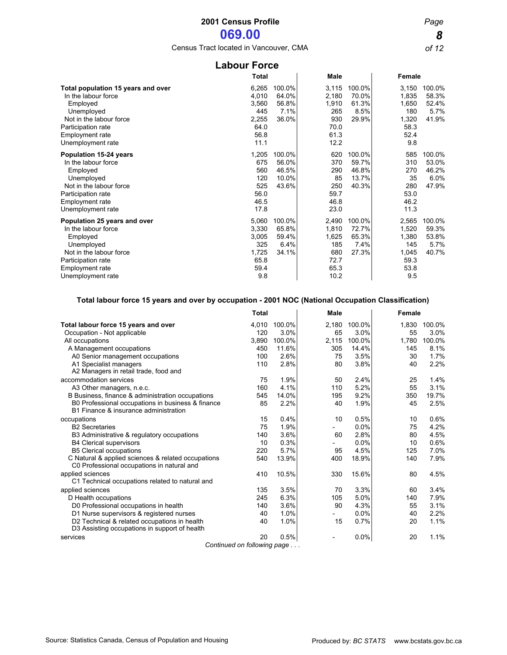Census Tract located in Vancouver, CMA *of 12*

| <b>Labour Force</b>                                                                                                                                                            |                                                                 |                                            |                                                               |                                            |                                                                |                                           |  |  |  |
|--------------------------------------------------------------------------------------------------------------------------------------------------------------------------------|-----------------------------------------------------------------|--------------------------------------------|---------------------------------------------------------------|--------------------------------------------|----------------------------------------------------------------|-------------------------------------------|--|--|--|
|                                                                                                                                                                                | <b>Total</b>                                                    |                                            | Male                                                          |                                            | Female                                                         |                                           |  |  |  |
| Total population 15 years and over<br>In the labour force<br>Employed<br>Unemployed<br>Not in the labour force<br>Participation rate<br>Employment rate<br>Unemployment rate   | 6,265<br>4,010<br>3,560<br>445<br>2,255<br>64.0<br>56.8<br>11.1 | 100.0%<br>64.0%<br>56.8%<br>7.1%<br>36.0%  | 3,115<br>2,180<br>1,910<br>265<br>930<br>70.0<br>61.3<br>12.2 | 100.0%<br>70.0%<br>61.3%<br>8.5%<br>29.9%  | 3,150<br>1,835<br>1,650<br>180<br>1,320<br>58.3<br>52.4<br>9.8 | 100.0%<br>58.3%<br>52.4%<br>5.7%<br>41.9% |  |  |  |
| <b>Population 15-24 years</b><br>In the labour force<br>Employed<br>Unemployed<br>Not in the labour force<br>Participation rate<br><b>Employment rate</b><br>Unemployment rate | 1,205<br>675<br>560<br>120<br>525<br>56.0<br>46.5<br>17.8       | 100.0%<br>56.0%<br>46.5%<br>10.0%<br>43.6% | 620<br>370<br>290<br>85<br>250<br>59.7<br>46.8<br>23.0        | 100.0%<br>59.7%<br>46.8%<br>13.7%<br>40.3% | 585<br>310<br>270<br>35<br>280<br>53.0<br>46.2<br>11.3         | 100.0%<br>53.0%<br>46.2%<br>6.0%<br>47.9% |  |  |  |
| Population 25 years and over<br>In the labour force<br>Employed<br>Unemployed<br>Not in the labour force<br>Participation rate<br><b>Employment rate</b><br>Unemployment rate  | 5,060<br>3,330<br>3,005<br>325<br>1,725<br>65.8<br>59.4<br>9.8  | 100.0%<br>65.8%<br>59.4%<br>6.4%<br>34.1%  | 2,490<br>1,810<br>1,625<br>185<br>680<br>72.7<br>65.3<br>10.2 | 100.0%<br>72.7%<br>65.3%<br>7.4%<br>27.3%  | 2,565<br>1.520<br>1,380<br>145<br>1,045<br>59.3<br>53.8<br>9.5 | 100.0%<br>59.3%<br>53.8%<br>5.7%<br>40.7% |  |  |  |

### **Total labour force 15 years and over by occupation - 2001 NOC (National Occupation Classification)**

|                                                    | <b>Total</b> |        | <b>Male</b>              |        | <b>Female</b> |        |  |
|----------------------------------------------------|--------------|--------|--------------------------|--------|---------------|--------|--|
| Total labour force 15 years and over               | 4,010        | 100.0% | 2,180                    | 100.0% | 1,830         | 100.0% |  |
| Occupation - Not applicable                        | 120          | 3.0%   | 65                       | 3.0%   | 55            | 3.0%   |  |
| All occupations                                    | 3,890        | 100.0% | 2,115                    | 100.0% | 1,780         | 100.0% |  |
| A Management occupations                           | 450          | 11.6%  | 305                      | 14.4%  | 145           | 8.1%   |  |
| A0 Senior management occupations                   | 100          | 2.6%   | 75                       | 3.5%   | 30            | 1.7%   |  |
| A1 Specialist managers                             | 110          | 2.8%   | 80                       | 3.8%   | 40            | 2.2%   |  |
| A2 Managers in retail trade, food and              |              |        |                          |        |               |        |  |
| accommodation services                             | 75           | 1.9%   | 50                       | 2.4%   | 25            | 1.4%   |  |
| A3 Other managers, n.e.c.                          | 160          | 4.1%   | 110                      | 5.2%   | 55            | 3.1%   |  |
| B Business, finance & administration occupations   | 545          | 14.0%  | 195                      | 9.2%   | 350           | 19.7%  |  |
| B0 Professional occupations in business & finance  | 85           | 2.2%   | 40                       | 1.9%   | 45            | 2.5%   |  |
| B1 Finance & insurance administration              |              |        |                          |        |               |        |  |
| occupations                                        | 15           | 0.4%   | 10                       | 0.5%   | 10            | 0.6%   |  |
| <b>B2</b> Secretaries                              | 75           | 1.9%   |                          | 0.0%   | 75            | 4.2%   |  |
| B3 Administrative & regulatory occupations         | 140          | 3.6%   | 60                       | 2.8%   | 80            | 4.5%   |  |
| <b>B4 Clerical supervisors</b>                     | 10           | 0.3%   | $\overline{\phantom{0}}$ | 0.0%   | 10            | 0.6%   |  |
| <b>B5 Clerical occupations</b>                     | 220          | 5.7%   | 95                       | 4.5%   | 125           | 7.0%   |  |
| C Natural & applied sciences & related occupations | 540          | 13.9%  | 400                      | 18.9%  | 140           | 7.9%   |  |
| C0 Professional occupations in natural and         |              |        |                          |        |               |        |  |
| applied sciences                                   | 410          | 10.5%  | 330                      | 15.6%  | 80            | 4.5%   |  |
| C1 Technical occupations related to natural and    |              |        |                          |        |               |        |  |
| applied sciences                                   | 135          | 3.5%   | 70                       | 3.3%   | 60            | 3.4%   |  |
| D Health occupations                               | 245          | 6.3%   | 105                      | 5.0%   | 140           | 7.9%   |  |
| D0 Professional occupations in health              | 140          | 3.6%   | 90                       | 4.3%   | 55            | 3.1%   |  |
| D1 Nurse supervisors & registered nurses           | 40           | 1.0%   | $\overline{\phantom{0}}$ | 0.0%   | 40            | 2.2%   |  |
| D2 Technical & related occupations in health       | 40           | 1.0%   | 15                       | 0.7%   | 20            | 1.1%   |  |
| D3 Assisting occupations in support of health      |              |        |                          |        |               |        |  |
| services                                           | 20           | 0.5%   | $\overline{\phantom{a}}$ | 0.0%   | 20            | 1.1%   |  |
| Continued on following page                        |              |        |                          |        |               |        |  |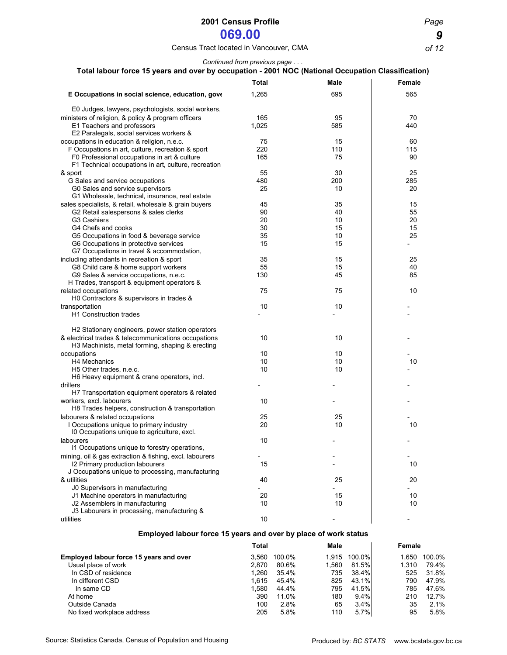### Census Tract located in Vancouver, CMA *of 12*

*Continued from previous page . . .*

| Total labour force 15 years and over by occupation - 2001 NOC (National Occupation Classification) |              |                |                             |                              |
|----------------------------------------------------------------------------------------------------|--------------|----------------|-----------------------------|------------------------------|
|                                                                                                    | Total        |                | Male                        | <b>Female</b>                |
| E Occupations in social science, education, gove                                                   | 1,265        |                | 695                         | 565                          |
| E0 Judges, lawyers, psychologists, social workers,                                                 |              |                |                             |                              |
| ministers of religion, & policy & program officers                                                 | 165          |                | 95                          | 70                           |
| E1 Teachers and professors                                                                         | 1,025        |                | 585                         | 440                          |
| E2 Paralegals, social services workers &                                                           |              |                |                             |                              |
| occupations in education & religion, n.e.c.                                                        | 75           |                | 15                          | 60                           |
| F Occupations in art, culture, recreation & sport                                                  | 220          |                | 110                         | 115                          |
| F0 Professional occupations in art & culture                                                       | 165          |                | 75                          | 90                           |
| F1 Technical occupations in art, culture, recreation                                               |              |                |                             |                              |
| & sport                                                                                            | 55           |                | 30                          | 25                           |
| G Sales and service occupations                                                                    | 480          |                | 200                         | 285                          |
| G0 Sales and service supervisors                                                                   | 25           |                | 10                          | 20                           |
| G1 Wholesale, technical, insurance, real estate                                                    |              |                |                             |                              |
| sales specialists, & retail, wholesale & grain buyers                                              | 45           |                | 35                          | 15                           |
| G2 Retail salespersons & sales clerks                                                              | 90           |                | 40                          | 55                           |
| G3 Cashiers                                                                                        | 20           |                | 10                          | 20                           |
| G4 Chefs and cooks                                                                                 | 30           |                | 15                          | 15                           |
| G5 Occupations in food & beverage service                                                          | 35           |                | 10                          | 25                           |
| G6 Occupations in protective services                                                              | 15           |                | 15                          | $\overline{\phantom{a}}$     |
| G7 Occupations in travel & accommodation,                                                          |              |                |                             |                              |
| including attendants in recreation & sport                                                         | 35           |                | 15                          | 25                           |
| G8 Child care & home support workers                                                               | 55           |                | 15                          | 40                           |
| G9 Sales & service occupations, n.e.c.<br>H Trades, transport & equipment operators &              | 130          |                | 45                          | 85                           |
| related occupations                                                                                | 75           |                | 75                          | 10                           |
| H0 Contractors & supervisors in trades &                                                           |              |                |                             |                              |
| transportation                                                                                     | 10           |                | 10                          |                              |
| <b>H1 Construction trades</b>                                                                      |              |                |                             |                              |
|                                                                                                    |              |                |                             |                              |
| H2 Stationary engineers, power station operators                                                   |              |                |                             |                              |
| & electrical trades & telecommunications occupations                                               | 10           |                | 10                          |                              |
| H3 Machinists, metal forming, shaping & erecting                                                   |              |                |                             |                              |
| occupations                                                                                        | 10           |                | 10                          |                              |
| H4 Mechanics                                                                                       | 10           |                | 10                          | 10                           |
| H5 Other trades, n.e.c.                                                                            | 10           |                | 10                          |                              |
| H6 Heavy equipment & crane operators, incl.                                                        |              |                |                             |                              |
| drillers                                                                                           |              |                |                             |                              |
| H7 Transportation equipment operators & related                                                    |              |                |                             |                              |
| workers, excl. labourers                                                                           | 10           |                |                             |                              |
| H8 Trades helpers, construction & transportation                                                   |              |                |                             |                              |
| labourers & related occupations                                                                    | 25           |                | 25                          |                              |
| I Occupations unique to primary industry                                                           | 20           |                | 10                          | 10                           |
| 10 Occupations unique to agriculture, excl.                                                        |              |                |                             |                              |
| labourers                                                                                          | 10           |                |                             |                              |
| 11 Occupations unique to forestry operations,                                                      |              |                |                             |                              |
| mining, oil & gas extraction & fishing, excl. labourers<br>12 Primary production labourers         | 15           |                |                             | 10                           |
| J Occupations unique to processing, manufacturing                                                  |              |                |                             |                              |
| & utilities                                                                                        | 40           |                | 25                          | 20                           |
| J0 Supervisors in manufacturing                                                                    |              |                |                             |                              |
| J1 Machine operators in manufacturing                                                              | 20           |                | 15                          | 10                           |
| J2 Assemblers in manufacturing                                                                     | 10           |                | 10                          | 10                           |
| J3 Labourers in processing, manufacturing &                                                        |              |                |                             |                              |
| utilities                                                                                          | 10           |                |                             |                              |
| Employed labour force 15 years and over by place of work status                                    |              |                |                             |                              |
|                                                                                                    | <b>Total</b> |                | Male                        | Female                       |
|                                                                                                    |              |                |                             |                              |
| Employed labour force 15 years and over                                                            | 3,560        | 100.0%         | 100.0%<br>1,915             | 1,650<br>100.0%              |
| Usual place of work                                                                                | 2,870        | 80.6%          | 81.5%<br>1,560              | 1,310<br>79.4%               |
| In CSD of residence                                                                                | 1,260        | 35.4%          | 735<br>38.4%                | 525<br>31.8%                 |
| In different CSD                                                                                   | 1,615        | 45.4%          | 825<br>43.1%                | 790<br>47.9%                 |
| In same CD                                                                                         | 1,580<br>390 | 44.4%<br>11.0% | 795<br>41.5%<br>180<br>9.4% | 785<br>47.6%<br>210<br>12.7% |
| At home                                                                                            |              |                |                             |                              |

 At home 390 11.0% 180 9.4% 210 12.7% Outside Canada 100 2.8% 65 3.4% 35 2.1% 100 3.8% 65 3.4% 35 2.1% 100 3.8% 65 3.4% 35 2.1%

No fixed workplace address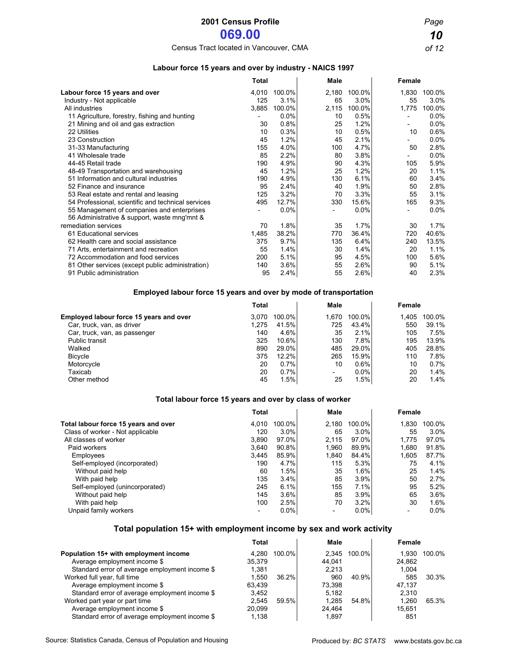Census Tract located in Vancouver, CMA *of 12*

#### **Labour force 15 years and over by industry - NAICS 1997**

|                                                                                            | Total |        | Male  |        | Female                   |        |
|--------------------------------------------------------------------------------------------|-------|--------|-------|--------|--------------------------|--------|
| Labour force 15 years and over                                                             | 4,010 | 100.0% | 2,180 | 100.0% | 1,830                    | 100.0% |
| Industry - Not applicable                                                                  | 125   | 3.1%   | 65    | 3.0%   | 55                       | 3.0%   |
| All industries                                                                             | 3,885 | 100.0% | 2,115 | 100.0% | 1,775                    | 100.0% |
| 11 Agriculture, forestry, fishing and hunting                                              |       | 0.0%   | 10    | 0.5%   |                          | 0.0%   |
| 21 Mining and oil and gas extraction                                                       | 30    | 0.8%   | 25    | 1.2%   |                          | 0.0%   |
| 22 Utilities                                                                               | 10    | 0.3%   | 10    | 0.5%   | 10                       | 0.6%   |
| 23 Construction                                                                            | 45    | 1.2%   | 45    | 2.1%   | $\overline{\phantom{0}}$ | 0.0%   |
| 31-33 Manufacturing                                                                        | 155   | 4.0%   | 100   | 4.7%   | 50                       | 2.8%   |
| 41 Wholesale trade                                                                         | 85    | 2.2%   | 80    | 3.8%   | -                        | 0.0%   |
| 44-45 Retail trade                                                                         | 190   | 4.9%   | 90    | 4.3%   | 105                      | 5.9%   |
| 48-49 Transportation and warehousing                                                       | 45    | 1.2%   | 25    | 1.2%   | 20                       | 1.1%   |
| 51 Information and cultural industries                                                     | 190   | 4.9%   | 130   | 6.1%   | 60                       | 3.4%   |
| 52 Finance and insurance                                                                   | 95    | 2.4%   | 40    | 1.9%   | 50                       | 2.8%   |
| 53 Real estate and rental and leasing                                                      | 125   | 3.2%   | 70    | 3.3%   | 55                       | 3.1%   |
| 54 Professional, scientific and technical services                                         | 495   | 12.7%  | 330   | 15.6%  | 165                      | 9.3%   |
| 55 Management of companies and enterprises<br>56 Administrative & support, waste mng'mnt & |       | 0.0%   |       | 0.0%   | $\overline{\phantom{0}}$ | 0.0%   |
| remediation services                                                                       | 70    | 1.8%   | 35    | 1.7%   | 30                       | 1.7%   |
| 61 Educational services                                                                    | 1,485 | 38.2%  | 770   | 36.4%  | 720                      | 40.6%  |
| 62 Health care and social assistance                                                       | 375   | 9.7%   | 135   | 6.4%   | 240                      | 13.5%  |
| 71 Arts, entertainment and recreation                                                      | 55    | 1.4%   | 30    | 1.4%   | 20                       | 1.1%   |
| 72 Accommodation and food services                                                         | 200   | 5.1%   | 95    | 4.5%   | 100                      | 5.6%   |
| 81 Other services (except public administration)                                           | 140   | 3.6%   | 55    | 2.6%   | 90                       | 5.1%   |
| 91 Public administration                                                                   | 95    | 2.4%   | 55    | 2.6%   | 40                       | 2.3%   |

#### **Employed labour force 15 years and over by mode of transportation**

| <b>Total</b>                                     |             | Male                     |         | Female |        |
|--------------------------------------------------|-------------|--------------------------|---------|--------|--------|
| Employed labour force 15 years and over<br>3.070 | 100.0%      | 1.670                    | 100.0%  | 1,405  | 100.0% |
| 1.275<br>Car, truck, van, as driver              | 41.5%       | 725                      | 43.4%   | 550    | 39.1%  |
| Car, truck, van, as passenger                    | 4.6%<br>140 | 35                       | 2.1%    | 105    | 7.5%   |
| Public transit<br>325                            | 10.6%       | 130                      | 7.8%    | 195    | 13.9%  |
| Walked<br>890                                    | 29.0%       | 485                      | 29.0%   | 405    | 28.8%  |
| <b>Bicycle</b><br>375                            | 12.2%       | 265                      | 15.9%l  | 110    | 7.8%   |
| Motorcycle                                       | 0.7%<br>20  | 10                       | $0.6\%$ | 10     | 0.7%   |
| Taxicab                                          | 20<br>0.7%  | $\overline{\phantom{0}}$ | $0.0\%$ | 20     | 1.4%   |
| Other method                                     | 1.5%<br>45  | 25                       | 1.5%    | 20     | 1.4%   |

#### **Total labour force 15 years and over by class of worker**

|                                      | <b>Total</b>             |         | Male  |          | <b>Female</b> |        |
|--------------------------------------|--------------------------|---------|-------|----------|---------------|--------|
| Total labour force 15 years and over | 4.010                    | 100.0%  | 2,180 | 100.0%   | 1,830         | 100.0% |
| Class of worker - Not applicable     | 120                      | 3.0%    | 65    | 3.0%     | 55            | 3.0%   |
| All classes of worker                | 3.890                    | 97.0%I  | 2.115 | $97.0\%$ | 1.775         | 97.0%  |
| Paid workers                         | 3.640                    | 90.8%   | 1.960 | 89.9%    | 1,680         | 91.8%  |
| Employees                            | 3.445                    | 85.9%   | 1,840 | 84.4%    | 1,605         | 87.7%  |
| Self-employed (incorporated)         | 190                      | 4.7%    | 115   | 5.3%     | 75            | 4.1%   |
| Without paid help                    | 60                       | 1.5%    | 35    | 1.6%     | 25            | 1.4%   |
| With paid help                       | 135                      | 3.4%    | 85    | 3.9%     | 50            | 2.7%   |
| Self-employed (unincorporated)       | 245                      | 6.1%    | 155   | 7.1%     | 95            | 5.2%   |
| Without paid help                    | 145                      | 3.6%    | 85    | 3.9%     | 65            | 3.6%   |
| With paid help                       | 100                      | 2.5%    | 70    | 3.2%     | 30            | 1.6%   |
| Unpaid family workers                | $\overline{\phantom{0}}$ | $0.0\%$ |       | $0.0\%$  |               | 0.0%   |

### **Total population 15+ with employment income by sex and work activity**

|                                                | Total  |          | Male   |              | Female |        |
|------------------------------------------------|--------|----------|--------|--------------|--------|--------|
| Population 15+ with employment income          | 4.280  | 100.0%   |        | 2.345 100.0% | 1.930  | 100.0% |
| Average employment income \$                   | 35.379 |          | 44.041 |              | 24.862 |        |
| Standard error of average employment income \$ | 1.381  |          | 2.213  |              | 1.004  |        |
| Worked full year, full time                    | 1.550  | $36.2\%$ | 960    | 40.9%        | 585    | 30.3%  |
| Average employment income \$                   | 63.439 |          | 73.398 |              | 47.137 |        |
| Standard error of average employment income \$ | 3.452  |          | 5.182  |              | 2.310  |        |
| Worked part year or part time                  | 2.545  | 59.5%l   | 1.285  | 54.8%        | 1.260  | 65.3%  |
| Average employment income \$                   | 20.099 |          | 24.464 |              | 15.651 |        |
| Standard error of average employment income \$ | 1.138  |          | 1.897  |              | 851    |        |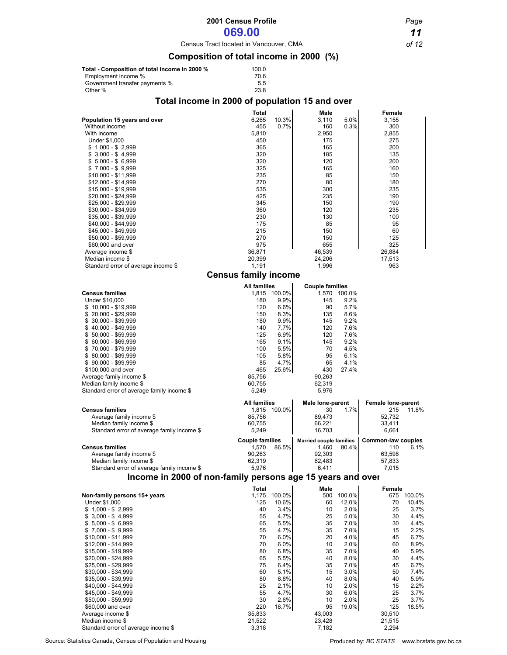# **2001 Census Profile** *Page*

**069.00** *11*

Census Tract located in Vancouver, CMA *of 12*

### **Composition of total income in 2000 (%)**

| Total - Composition of total income in 2000 % | 100.0 |
|-----------------------------------------------|-------|
| Employment income %                           | 70.6  |
| Government transfer payments %                | 5.5   |
| Other %                                       | 23.8  |

### **Total income in 2000 of population 15 and over**

|                                                                       | Total                       |               | Male                           |               | Female                    |               |
|-----------------------------------------------------------------------|-----------------------------|---------------|--------------------------------|---------------|---------------------------|---------------|
| Population 15 years and over                                          | 6,265                       | 10.3%         | 3,110                          | 5.0%          | 3,155                     |               |
| Without income<br>With income                                         | 455                         | 0.7%          | 160                            | 0.3%          | 300<br>2,855              |               |
| Under \$1,000                                                         | 5,810<br>450                |               | 2,950<br>175                   |               | 275                       |               |
| $$1,000 - $2,999$                                                     | 365                         |               | 165                            |               | 200                       |               |
| $$3,000 - $4,999$                                                     | 320                         |               | 185                            |               | 135                       |               |
| $$5,000 - $6,999$                                                     | 320                         |               | 120                            |               | 200                       |               |
| $$7,000 - $9,999$<br>\$10,000 - \$11,999                              | 325<br>235                  |               | 165<br>85                      |               | 160<br>150                |               |
| $$12,000 - $14,999$                                                   | 270                         |               | 80                             |               | 180                       |               |
| \$15,000 - \$19,999                                                   | 535                         |               | 300                            |               | 235                       |               |
| \$20,000 - \$24,999                                                   | 425                         |               | 235                            |               | 190                       |               |
| \$25,000 - \$29,999<br>\$30,000 - \$34,999                            | 345<br>360                  |               | 150<br>120                     |               | 190<br>235                |               |
| \$35,000 - \$39,999                                                   | 230                         |               | 130                            |               | 100                       |               |
| \$40,000 - \$44,999                                                   | 175                         |               | 85                             |               | 95                        |               |
| \$45,000 - \$49,999                                                   | 215                         |               | 150                            |               | 60                        |               |
| \$50,000 - \$59,999                                                   | 270                         |               | 150                            |               | 125                       |               |
| \$60,000 and over<br>Average income \$                                | 975<br>36,871               |               | 655<br>46,539                  |               | 325<br>26,884             |               |
| Median income \$                                                      | 20,399                      |               | 24,206                         |               | 17,513                    |               |
| Standard error of average income \$                                   | 1,191                       |               | 1,996                          |               | 963                       |               |
|                                                                       | <b>Census family income</b> |               |                                |               |                           |               |
|                                                                       | <b>All families</b>         |               | <b>Couple families</b>         |               |                           |               |
| <b>Census families</b>                                                |                             | 1,815 100.0%  |                                | 1,570 100.0%  |                           |               |
| Under \$10,000                                                        | 180<br>120                  | 9.9%<br>6.6%  | 145<br>90                      | 9.2%<br>5.7%  |                           |               |
| $$10,000 - $19,999$<br>20,000 - \$29,999<br>\$                        | 150                         | 8.3%          | 135                            | 8.6%          |                           |               |
| \$30,000 - \$39,999                                                   | 180                         | 9.9%          | 145                            | 9.2%          |                           |               |
| \$40,000 - \$49,999                                                   | 140                         | 7.7%          | 120                            | 7.6%          |                           |               |
| $$50,000 - $59,999$                                                   | 125                         | 6.9%          | 120                            | 7.6%          |                           |               |
| \$60,000 - \$69,999<br>$$70,000 - $79,999$                            | 165<br>100                  | 9.1%<br>5.5%  | 145<br>70                      | 9.2%<br>4.5%  |                           |               |
| \$80,000 - \$89,999                                                   | 105                         | 5.8%          | 95                             | 6.1%          |                           |               |
| $$90,000 - $99,999$                                                   | 85                          | 4.7%          | 65                             | 4.1%          |                           |               |
| \$100,000 and over                                                    | 465                         | 25.6%         | 430                            | 27.4%         |                           |               |
| Average family income \$                                              | 85,756                      |               | 90,263                         |               |                           |               |
| Median family income \$<br>Standard error of average family income \$ | 60,755<br>5,249             |               | 62,319<br>5,976                |               |                           |               |
|                                                                       |                             |               |                                |               |                           |               |
|                                                                       | All families                | 1,815 100.0%  | Male lone-parent<br>30         | 1.7%          | Female lone-parent<br>215 | 11.8%         |
|                                                                       |                             |               |                                |               |                           |               |
| <b>Census families</b><br>Average family income \$                    | 85,756                      |               | 89,473                         |               | 52,732                    |               |
| Median family income \$                                               | 60,755                      |               | 66,221                         |               | 33,411                    |               |
| Standard error of average family income \$                            | 5,249                       |               | 16,703                         |               | 6,661                     |               |
|                                                                       | <b>Couple families</b>      |               | <b>Married couple families</b> |               | <b>Common-law couples</b> |               |
| <b>Census families</b>                                                | 1,570                       | 86.5%         | 1,460                          | 80.4%         | 110                       | 6.1%          |
| Average family income \$<br>Median family income \$                   | 90,263<br>62,319            |               | 92,303<br>62,483               |               | 63,598<br>57,833          |               |
| Standard error of average family income \$                            | 5,976                       |               | 6,411                          |               | 7,015                     |               |
| Income in 2000 of non-family persons age 15 years and over            |                             |               |                                |               |                           |               |
|                                                                       | Total                       |               | Male                           |               | Female                    |               |
| Non-family persons 15+ years                                          | 1,175                       | 100.0%        | 500                            | 100.0%        |                           | 675 100.0%    |
| <b>Under \$1,000</b><br>$$1,000 - $2,999$                             | 125<br>40                   | 10.6%<br>3.4% | 60<br>10                       | 12.0%<br>2.0% | 70<br>25                  | 10.4%<br>3.7% |
| $$3,000 - $4,999$                                                     | 55                          | 4.7%          | 25                             | 5.0%          | 30                        | 4.4%          |
| $$5,000 - $6,999$                                                     | 65                          | 5.5%          | 35                             | 7.0%          | 30                        | 4.4%          |
| $$7,000 - $9,999$                                                     | 55                          | 4.7%          | 35                             | 7.0%          | 15                        | 2.2%          |
| \$10,000 - \$11,999<br>\$12,000 - \$14,999                            | 70<br>70                    | 6.0%<br>6.0%  | 20<br>10                       | 4.0%<br>2.0%  | 45<br>60                  | 6.7%<br>8.9%  |
| \$15,000 - \$19,999                                                   | 80                          | 6.8%          | 35                             | 7.0%          | 40                        | 5.9%          |
| $$20,000 - $24,999$                                                   | 65                          | 5.5%          | 40                             | 8.0%          | 30                        | 4.4%          |
| \$25,000 - \$29,999                                                   | 75                          | 6.4%          | 35                             | 7.0%          | 45                        | 6.7%          |
| \$30,000 - \$34,999<br>\$35,000 - \$39,999                            | 60<br>80                    | 5.1%<br>6.8%  | 15<br>40                       | 3.0%<br>8.0%  | 50<br>40                  | 7.4%<br>5.9%  |
| \$40,000 - \$44,999                                                   | 25                          | 2.1%          | 10                             | 2.0%          | 15                        | 2.2%          |
| \$45,000 - \$49,999                                                   | 55                          | 4.7%          | 30                             | 6.0%          | 25                        | 3.7%          |
| \$50,000 - \$59,999                                                   | 30                          | 2.6%          | 10                             | 2.0%          | 25                        | 3.7%          |
| \$60,000 and over                                                     | 220                         | 18.7%         | 95                             | 19.0%         | 125                       | 18.5%         |
| Average income \$<br>Median income \$                                 | 35,833<br>21,522            |               | 43,003<br>23,428               |               | 30,510<br>21,515          |               |